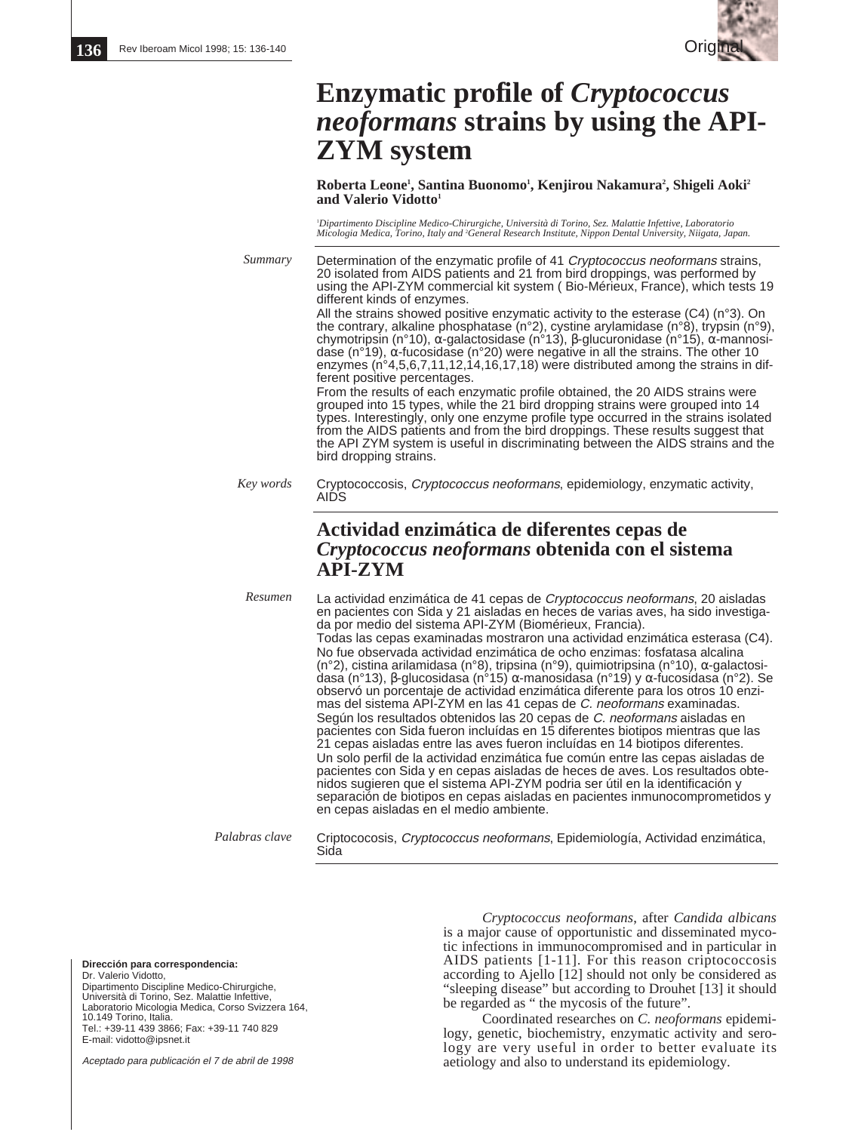

# **Enzymatic profile of** *Cryptococcus neoformans* **strains by using the API-ZYM system**

Roberta Leone<sup>1</sup>, Santina Buonomo<sup>1</sup>, Kenjirou Nakamura<sup>2</sup>, Shigeli Aoki<sup>2</sup> and Valerio Vidotto<sup>1</sup>

1 *Dipartimento Discipline Medico-Chirurgiche, Università di Torino, Sez. Malattie Infettive, Laboratorio Micologia Medica, Torino, Italy and* <sup>2</sup> *General Research Institute, Nippon Dental University, Niigata, Japan.*

Determination of the enzymatic profile of 41 Cryptococcus neoformans strains, 20 isolated from AIDS patients and 21 from bird droppings, was performed by using the API-ZYM commercial kit system ( Bio-Mérieux, France), which tests 19 different kinds of enzymes. All the strains showed positive enzymatic activity to the esterase (C4) (n°3). On the contrary, alkaline phosphatase (n°2), cystine arylamidase (n°8), trypsin (n°9), chymotripsin (n°10), α-galactosidase (n°13), β-glucuronidase (n°15), α-mannosidase (n°19),  $\alpha$ -fucosidase (n°20) were negative in all the strains. The other 10 enzymes (n°4,5,6,7,11,12,14,16,17,18) were distributed among the strains in different positive percentages. From the results of each enzymatic profile obtained, the 20 AIDS strains were grouped into 15 types, while the 21 bird dropping strains were grouped into 14 types. Interestingly, only one enzyme profile type occurred in the strains isolated from the AIDS patients and from the bird droppings. These results suggest that the API ZYM system is useful in discriminating between the AIDS strains and the bird dropping strains. Cryptococcosis, Cryptococcus neoformans, epidemiology, enzymatic activity, AIDS **Actividad enzimática de diferentes cepas de** *Cryptococcus neoformans* **obtenida con el sistema API-ZYM** La actividad enzimática de 41 cepas de Cryptococcus neoformans, 20 aisladas en pacientes con Sida y 21 aisladas en heces de varias aves, ha sido investigada por medio del sistema API-ZYM (Biomérieux, Francia). Todas las cepas examinadas mostraron una actividad enzimática esterasa (C4). No fue observada actividad enzimática de ocho enzimas: fosfatasa alcalina (n°2), cistina arilamidasa (n°8), tripsina (n°9), quimiotripsina (n°10), α-galactosidasa (n°13), β-glucosidasa (n°15) α-manosidasa (n°19) y α-fucosidasa (n°2). Se observó un porcentaje de actividad enzimática diferente para los otros 10 enzimas del sistema API-ZYM en las 41 cepas de C. neoformans examinadas. Según los resultados obtenidos las 20 cepas de C. neoformans aisladas en pacientes con Sida fueron incluídas en 15 diferentes biotipos mientras que las 21 cepas aisladas entre las aves fueron incluídas en 14 biotipos diferentes. Un solo perfil de la actividad enzimática fue común entre las cepas aisladas de pacientes con Sida y en cepas aisladas de heces de aves. Los resultados obtenidos sugieren que el sistema API-ZYM podria ser útil en la identificación y separación de biotipos en cepas aisladas en pacientes inmunocomprometidos y en cepas aisladas en el medio ambiente. *Summary Key words Resumen*

*Palabras clave*

Criptococosis, Cryptococcus neoformans, Epidemiología, Actividad enzimática, Sida

**Dirección para correspondencia:**

Dr. Valerio Vidotto, Dipartimento Discipline Medico-Chirurgiche, Università di Torino, Sez. Malattie Infettive, Laboratorio Micologia Medica, Corso Svizzera 164, 10.149 Torino, Italia. Tel.: +39-11 439 3866; Fax: +39-11 740 829 E-mail: vidotto@ipsnet.it

Aceptado para publicación el 7 de abril de 1998

*Cryptococcus neoformans*, after *Candida albicans* is a major cause of opportunistic and disseminated mycotic infections in immunocompromised and in particular in AIDS patients [1-11]. For this reason criptococcosis according to Ajello [12] should not only be considered as "sleeping disease" but according to Drouhet [13] it should be regarded as " the mycosis of the future".

Coordinated researches on *C. neoformans* epidemilogy, genetic, biochemistry, enzymatic activity and serology are very useful in order to better evaluate its aetiology and also to understand its epidemiology.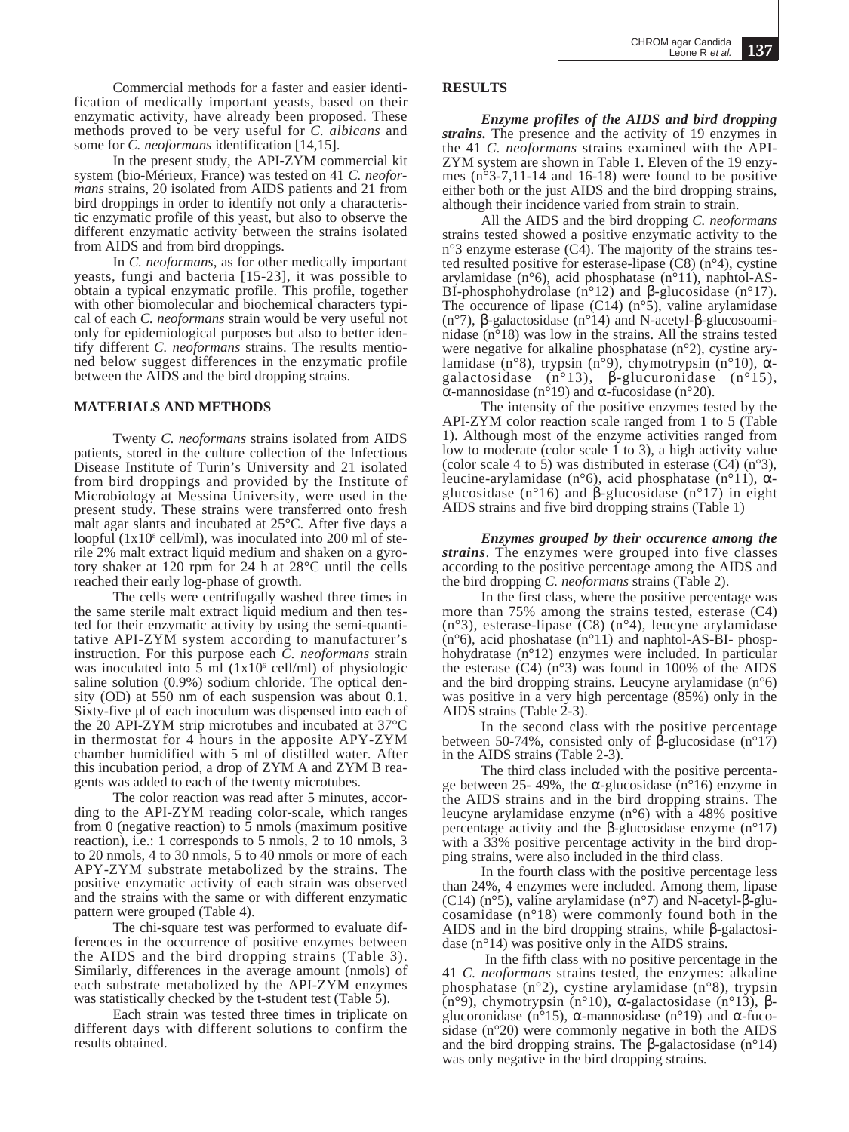Commercial methods for a faster and easier identification of medically important yeasts, based on their enzymatic activity, have already been proposed. These methods proved to be very useful for *C. albicans* and some for *C. neoformans* identification [14,15].

In the present study, the API-ZYM commercial kit system (bio-Mérieux, France) was tested on 41 *C. neoformans* strains, 20 isolated from AIDS patients and 21 from bird droppings in order to identify not only a characteristic enzymatic profile of this yeast, but also to observe the different enzymatic activity between the strains isolated from AIDS and from bird droppings.

In *C. neoformans*, as for other medically important yeasts, fungi and bacteria [15-23], it was possible to obtain a typical enzymatic profile. This profile, together with other biomolecular and biochemical characters typical of each *C. neoformans* strain would be very useful not only for epidemiological purposes but also to better identify different *C. neoformans* strains. The results mentioned below suggest differences in the enzymatic profile between the AIDS and the bird dropping strains.

#### **MATERIALS AND METHODS**

Twenty *C. neoformans* strains isolated from AIDS patients, stored in the culture collection of the Infectious Disease Institute of Turin's University and 21 isolated from bird droppings and provided by the Institute of Microbiology at Messina University, were used in the present study. These strains were transferred onto fresh malt agar slants and incubated at 25°C. After five days a loopful  $(1x10<sup>8</sup>$  cell/ml), was inoculated into 200 ml of sterile 2% malt extract liquid medium and shaken on a gyrotory shaker at 120 rpm for 24 h at 28°C until the cells reached their early log-phase of growth.

The cells were centrifugally washed three times in the same sterile malt extract liquid medium and then tested for their enzymatic activity by using the semi-quantitative API-ZYM system according to manufacturer's instruction. For this purpose each *C. neoformans* strain was inoculated into  $\bar{5}$  ml (1x10<sup>6</sup> cell/ml) of physiologic saline solution (0.9%) sodium chloride. The optical density (OD) at 550 nm of each suspension was about 0.1. Sixty-five µl of each inoculum was dispensed into each of the 20 API-ZYM strip microtubes and incubated at 37°C in thermostat for 4 hours in the apposite APY-ZYM chamber humidified with 5 ml of distilled water. After this incubation period, a drop of ZYM A and ZYM B reagents was added to each of the twenty microtubes.

The color reaction was read after 5 minutes, according to the API-ZYM reading color-scale, which ranges from 0 (negative reaction) to  $\bar{5}$  nmols (maximum positive reaction), i.e.: 1 corresponds to 5 nmols, 2 to 10 nmols, 3 to 20 nmols, 4 to 30 nmols, 5 to 40 nmols or more of each APY-ZYM substrate metabolized by the strains. The positive enzymatic activity of each strain was observed and the strains with the same or with different enzymatic pattern were grouped (Table 4).

The chi-square test was performed to evaluate differences in the occurrence of positive enzymes between the AIDS and the bird dropping strains (Table 3). Similarly, differences in the average amount (nmols) of each substrate metabolized by the API-ZYM enzymes was statistically checked by the t-student test (Table 5).

Each strain was tested three times in triplicate on different days with different solutions to confirm the results obtained.

### **RESULTS**

*Enzyme profiles of the AIDS and bird dropping strains.* The presence and the activity of 19 enzymes in the 41 *C. neoformans* strains examined with the API-ZYM system are shown in Table 1. Eleven of the 19 enzymes (n°3-7,11-14 and 16-18) were found to be positive either both or the just AIDS and the bird dropping strains, although their incidence varied from strain to strain.

All the AIDS and the bird dropping *C. neoformans* strains tested showed a positive enzymatic activity to the  $n^{\circ}$ 3 enzyme esterase (C4). The majority of the strains tested resulted positive for esterase-lipase  $(C8)$  (n°4), cystine arylamidase (n°6), acid phosphatase (n°11), naphtol-AS-BI-phosphohydrolase  $(n^{\circ}12)$  and β-glucosidase  $(n^{\circ}17)$ . The occurence of lipase  $(C14)$  (n°5), valine arylamidase (n°7), β-galactosidase (n°14) and N-acetyl-β-glucosoaminidase (n°18) was low in the strains. All the strains tested were negative for alkaline phosphatase (n°2), cystine arylamidase (n°8), trypsin (n°9), chymotrypsin (n°10), αgalactosidase  $(n^{\circ}13)$ ,  $\beta$ -glucuronidase  $(n^{\circ}15)$ , α-mannosidase (n°19) and α-fucosidase (n°20).

The intensity of the positive enzymes tested by the API-ZYM color reaction scale ranged from 1 to 5 (Table 1). Although most of the enzyme activities ranged from low to moderate (color scale 1 to 3), a high activity value (color scale 4 to 5) was distributed in esterase  $(C4)$  (n°3), leucine-arylamidase (n°6), acid phosphatase (n°11), α-glucosidase (n°16) and β-glucosidase (n°17) in eight AIDS strains and five bird dropping strains (Table 1)

*Enzymes grouped by their occurence among the strains*. The enzymes were grouped into five classes according to the positive percentage among the AIDS and the bird dropping *C. neoformans* strains (Table 2).

In the first class, where the positive percentage was more than 75% among the strains tested, esterase (C4) (n°3), esterase-lipase (C8) (n°4), leucyne arylamidase  $(n°6)$ , acid phoshatase  $(n°11)$  and naphtol-AS-BI- phosphohydratase (n°12) enzymes were included. In particular the esterase  $(C4)$  (n°3) was found in 100% of the AIDS and the bird dropping strains. Leucyne arylamidase  $(n°6)$ was positive in a very high percentage (85%) only in the AIDS strains (Table 2-3).

In the second class with the positive percentage between 50-74%, consisted only of  $\beta$ -glucosidase (n°17) in the AIDS strains (Table 2-3).

The third class included with the positive percentage between 25- 49%, the  $\alpha$ -glucosidase (n°16) enzyme in the AIDS strains and in the bird dropping strains. The leucyne arylamidase enzyme (n°6) with a 48% positive percentage activity and the β-glucosidase enzyme (n°17) with a 33% positive percentage activity in the bird dropping strains, were also included in the third class.

In the fourth class with the positive percentage less than 24%, 4 enzymes were included. Among them, lipase (C14) (n°5), valine arylamidase (n°7) and N-acetyl-β-glucosamidase (n°18) were commonly found both in the AIDS and in the bird dropping strains, while β-galactosidase (n°14) was positive only in the AIDS strains.

In the fifth class with no positive percentage in the 41 *C. neoformans* strains tested, the enzymes: alkaline phosphatase (n°2), cystine arylamidase (n°8), trypsin (n°9), chymotrypsin (n°10), α-galactosidase (n°13), β- glucoronidase (n°15), α-mannosidase (n°19) and α-fucosidase (n°20) were commonly negative in both the AIDS and the bird dropping strains. The β-galactosidase (n°14) was only negative in the bird dropping strains.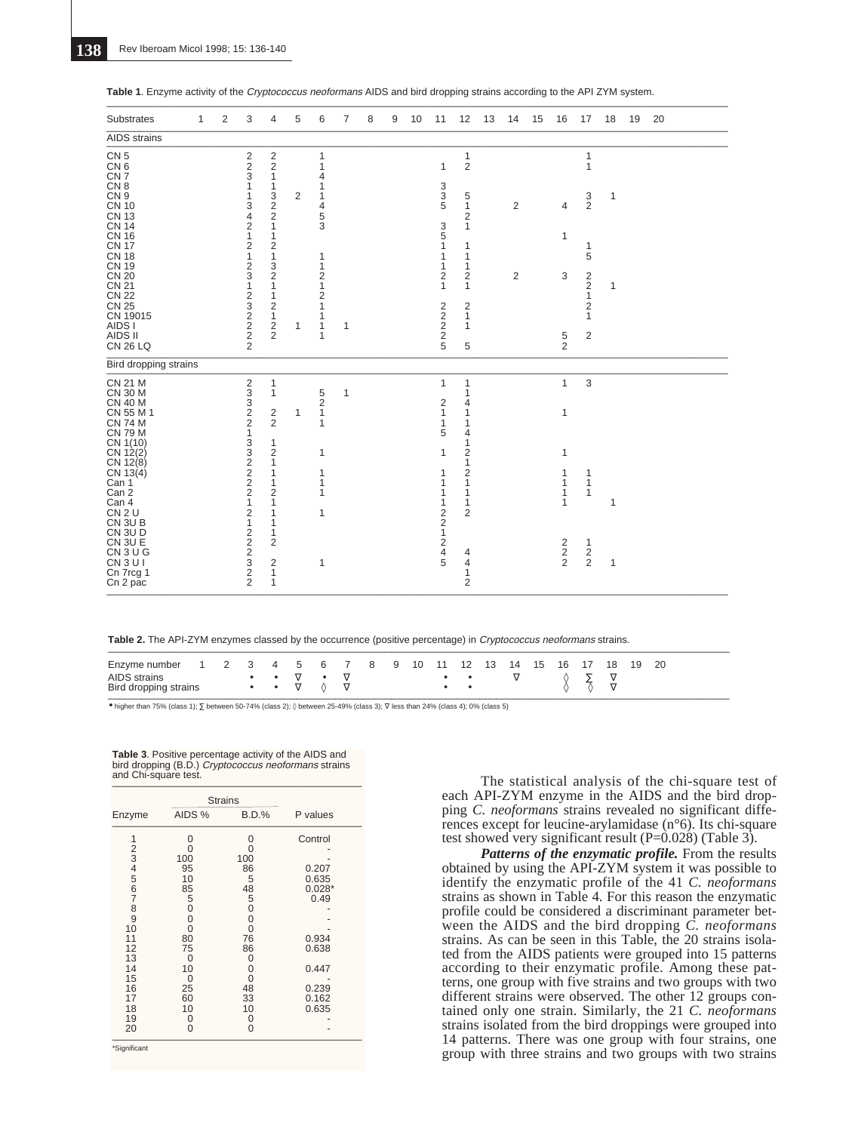| Substrates                                                                                                                                                                                                                                                                                                                      | 1 | 2 | 3                                                                                                                                                                                                                      | 4                                                                                                                                                                                                                                 | 5            | 6                                                                                                                                                                               | 7            | 8 | 9 | 10 | 11                                                                                                                           | 12                                                                                                                                                                                 | 13 | 14                               | 15 | 16                                            | 17                                                                                                                     | 18                           | 19 | 20 |  |
|---------------------------------------------------------------------------------------------------------------------------------------------------------------------------------------------------------------------------------------------------------------------------------------------------------------------------------|---|---|------------------------------------------------------------------------------------------------------------------------------------------------------------------------------------------------------------------------|-----------------------------------------------------------------------------------------------------------------------------------------------------------------------------------------------------------------------------------|--------------|---------------------------------------------------------------------------------------------------------------------------------------------------------------------------------|--------------|---|---|----|------------------------------------------------------------------------------------------------------------------------------|------------------------------------------------------------------------------------------------------------------------------------------------------------------------------------|----|----------------------------------|----|-----------------------------------------------|------------------------------------------------------------------------------------------------------------------------|------------------------------|----|----|--|
| AIDS strains                                                                                                                                                                                                                                                                                                                    |   |   |                                                                                                                                                                                                                        |                                                                                                                                                                                                                                   |              |                                                                                                                                                                                 |              |   |   |    |                                                                                                                              |                                                                                                                                                                                    |    |                                  |    |                                               |                                                                                                                        |                              |    |    |  |
| CN <sub>5</sub><br>CN <sub>6</sub><br>CN <sub>7</sub><br>CN <sub>8</sub><br>CN <sub>9</sub><br><b>CN 10</b><br><b>CN 13</b><br><b>CN 14</b><br><b>CN 16</b><br><b>CN 17</b><br><b>CN 18</b><br><b>CN 19</b><br><b>CN 20</b><br><b>CN 21</b><br><b>CN 22</b><br><b>CN 25</b><br>CN 19015<br>AIDS I<br>AIDS II<br><b>CN 26 LQ</b> |   |   | $\frac{2}{3}$<br>1<br>1<br>3<br>$\overline{4}$<br>$\overline{2}$<br>$\mathbf{1}$<br>$\frac{2}{1}$<br>$\frac{2}{3}$<br>$\mathbf{1}$<br>$\overline{2}$<br>$\begin{array}{c}\n3 \\ 2 \\ 2\n\end{array}$<br>$\overline{2}$ | $\frac{2}{2}$<br>$\mathbf{1}$<br>$\mathbf{1}$<br>$\frac{3}{2}$<br>$\mathbf{1}$<br>1<br>$\overline{c}$<br>$\mathbf{1}$<br>3<br>$\overline{c}$<br>$\mathbf{1}$<br>$\mathbf{1}$<br>$\overline{2}$<br>$\mathbf{1}$<br>$\sqrt{2}$<br>2 | 2<br>1       | $\mathbf{1}$<br>1<br>4<br>1<br>1<br>$\overline{4}$<br>5<br>3<br>1<br>$\mathbf{1}$<br>$\overline{2}$<br>$\mathbf{1}$<br>$\overline{2}$<br>$\mathbf{1}$<br>1<br>$\mathbf{1}$<br>1 | 1            |   |   |    | 1<br>$\begin{array}{c} 3 \\ 3 \\ 5 \end{array}$<br>3<br>5<br>1<br>1<br>1<br>$\overline{2}$<br>$\mathbf{1}$<br>$2222$<br>$25$ | $\mathbf{1}$<br>$\overline{2}$<br>5<br>$\mathbf{1}$<br>$\overline{2}$<br>$\mathbf{1}$<br>1<br>1<br>1<br>$\overline{2}$<br>$\mathbf{1}$<br>$\overline{2}$<br>$\mathbf{1}$<br>1<br>5 |    | $\overline{2}$<br>$\overline{2}$ |    | $\overline{4}$<br>$\mathbf{1}$<br>3<br>5<br>2 | $\mathbf{1}$<br>1<br>$\frac{3}{2}$<br>1<br>5<br>$\frac{2}{2}$<br>1<br>$\overline{2}$<br>$\mathbf{1}$<br>$\overline{2}$ | $\mathbf{1}$<br>$\mathbf{1}$ |    |    |  |
| Bird dropping strains                                                                                                                                                                                                                                                                                                           |   |   |                                                                                                                                                                                                                        |                                                                                                                                                                                                                                   |              |                                                                                                                                                                                 |              |   |   |    |                                                                                                                              |                                                                                                                                                                                    |    |                                  |    |                                               |                                                                                                                        |                              |    |    |  |
| <b>CN 21 M</b><br><b>CN 30 M</b><br><b>CN 40 M</b><br>CN 55 M 1<br><b>CN 74 M</b><br><b>CN 79 M</b><br>CN 1(10)                                                                                                                                                                                                                 |   |   | 2<br>3<br>3<br>2<br>2<br>$\mathbf{1}$                                                                                                                                                                                  | 1<br>$\mathbf{1}$<br>$\frac{2}{2}$<br>1                                                                                                                                                                                           | $\mathbf{1}$ | 5<br>$\frac{2}{1}$<br>$\mathbf{1}$                                                                                                                                              | $\mathbf{1}$ |   |   |    | $\mathbf{1}$<br>$\frac{2}{1}$<br>$\mathbf{1}$<br>5                                                                           | 1<br>1<br>4<br>1<br>1<br>4<br>1                                                                                                                                                    |    |                                  |    | $\mathbf{1}$<br>$\mathbf{1}$                  | 3                                                                                                                      |                              |    |    |  |
| CN 12(2)<br>CN 12(8)<br>CN 13(4)<br>Can 1<br>Can 2<br>Can 4<br>CN <sub>2</sub> U<br>CN 3U B                                                                                                                                                                                                                                     |   |   | 33222<br>$\mathbf{1}$<br>$\overline{2}$<br>$\mathbf{1}$                                                                                                                                                                | $\overline{2}$<br>$\mathbf{1}$<br>1<br>1<br>$\overline{c}$<br>1<br>1<br>1                                                                                                                                                         |              | 1<br>1<br>1<br>1<br>$\mathbf{1}$                                                                                                                                                |              |   |   |    | 1<br>1<br>1<br>1<br>1<br>$\begin{array}{c}\n2 \\ 2 \\ 1\n\end{array}$                                                        | $\overline{2}$<br>1<br>2<br>1<br>1<br>1<br>$\overline{2}$                                                                                                                          |    |                                  |    | 1<br>1<br>1<br>1<br>1                         | 1<br>$\mathbf{1}$<br>1                                                                                                 | $\mathbf{1}$                 |    |    |  |
| CN 3U D<br>CN 3U E<br>CN <sub>3</sub> U <sub>G</sub><br>CN <sub>3UI</sub><br>Cn 7rcg 1<br>Cn 2 pac                                                                                                                                                                                                                              |   |   | $\frac{2}{2}$<br>$\frac{2}{3}$<br>2<br>$\overline{2}$                                                                                                                                                                  | 1<br>$\overline{2}$<br>$\overline{c}$<br>1<br>1                                                                                                                                                                                   |              | $\mathbf{1}$                                                                                                                                                                    |              |   |   |    | $\overline{2}$<br>4<br>5                                                                                                     | 4<br>$\overline{4}$<br>1<br>$\overline{2}$                                                                                                                                         |    |                                  |    | $\overline{2}$<br>$\frac{2}{2}$               | $\mathbf{1}$<br>$\frac{2}{2}$                                                                                          | $\mathbf{1}$                 |    |    |  |

|  |  |  | Table 1. Enzyme activity of the Cryptococcus neoformans AIDS and bird dropping strains according to the API ZYM system. |  |  |  |
|--|--|--|-------------------------------------------------------------------------------------------------------------------------|--|--|--|
|--|--|--|-------------------------------------------------------------------------------------------------------------------------|--|--|--|

\_\_\_\_\_\_\_\_\_\_\_\_\_\_\_\_\_\_\_\_\_\_\_\_\_\_\_\_\_\_\_\_\_\_\_\_\_\_\_\_\_\_\_\_\_\_\_\_\_\_\_\_\_\_\_\_\_\_\_\_\_\_\_\_\_\_\_\_\_\_\_\_\_\_\_\_\_\_\_\_\_\_\_\_\_\_\_\_\_\_\_\_\_\_\_\_\_\_\_\_\_\_\_\_\_\_\_\_\_\_\_\_

| Table 2. The API-ZYM enzymes classed by the occurrence (positive percentage) in <i>Cryptococcus neoformans</i> strains. |  |
|-------------------------------------------------------------------------------------------------------------------------|--|
|                                                                                                                         |  |

| Enzyme number         |  |                                         |  |  | 1 2 3 4 5 6 7 8 9 10 11 12 13 14 15 |  |  |  |  | 16 17 18 | 19 20 |  |
|-----------------------|--|-----------------------------------------|--|--|-------------------------------------|--|--|--|--|----------|-------|--|
| AIDS strains          |  | $\bullet \qquad \bullet \qquad \bullet$ |  |  |                                     |  |  |  |  |          |       |  |
| Bird dropping strains |  |                                         |  |  |                                     |  |  |  |  |          |       |  |

• higher than 75% (class 1); ∑ between 50-74% (class 2); ◊ between 25-49% (class 3); ∇ less than 24% (class 4); 0% (class 5)

| <b>Table 3.</b> Positive percentage activity of the AIDS and<br>bird dropping (B.D.) Cryptococcus neoformans strains<br>and Chi-square test. |
|----------------------------------------------------------------------------------------------------------------------------------------------|
|----------------------------------------------------------------------------------------------------------------------------------------------|

|          |          | <b>Strains</b> |                |
|----------|----------|----------------|----------------|
| Enzyme   | AIDS %   | <b>B.D.%</b>   | P values       |
| 1        | 0        | 0              | Control        |
| 23456    | O<br>100 | O<br>100       |                |
|          | 95       | 86             | 0.207          |
|          | 10       | 5              | 0.635          |
| 7        | 85       | 48             | $0.028*$       |
| 8        | 5<br>0   | 5<br>0         | 0.49           |
| 9        | 0        | 0              |                |
| 10       | 0        | 0              |                |
| 11       | 80       | 76             | 0.934          |
| 12<br>13 | 75<br>0  | 86<br>0        | 0.638          |
| 14       | 10       | 0              | 0.447          |
| 15       | 0        | 0              |                |
| 16       | 25       | 48             | 0.239          |
| 17<br>18 | 60<br>10 | 33<br>10       | 0.162<br>0.635 |
| 19       | 0        | 0              |                |
| 20       | 0        | 0              |                |

\*Significant

The statistical analysis of the chi-square test of each API-ZYM enzyme in the AIDS and the bird dropping *C. neoformans* strains revealed no significant differences except for leucine-arylamidase (n°6). Its chi-square test showed very significant result (P=0.028) (Table 3).

*Patterns of the enzymatic profile.* From the results obtained by using the API-ZYM system it was possible to identify the enzymatic profile of the 41 *C. neoformans* strains as shown in Table 4. For this reason the enzymatic profile could be considered a discriminant parameter between the AIDS and the bird dropping *C. neoformans* strains. As can be seen in this Table, the 20 strains isolated from the AIDS patients were grouped into 15 patterns according to their enzymatic profile. Among these patterns, one group with five strains and two groups with two different strains were observed. The other 12 groups contained only one strain. Similarly, the 21 *C. neoformans* strains isolated from the bird droppings were grouped into 14 patterns. There was one group with four strains, one group with three strains and two groups with two strains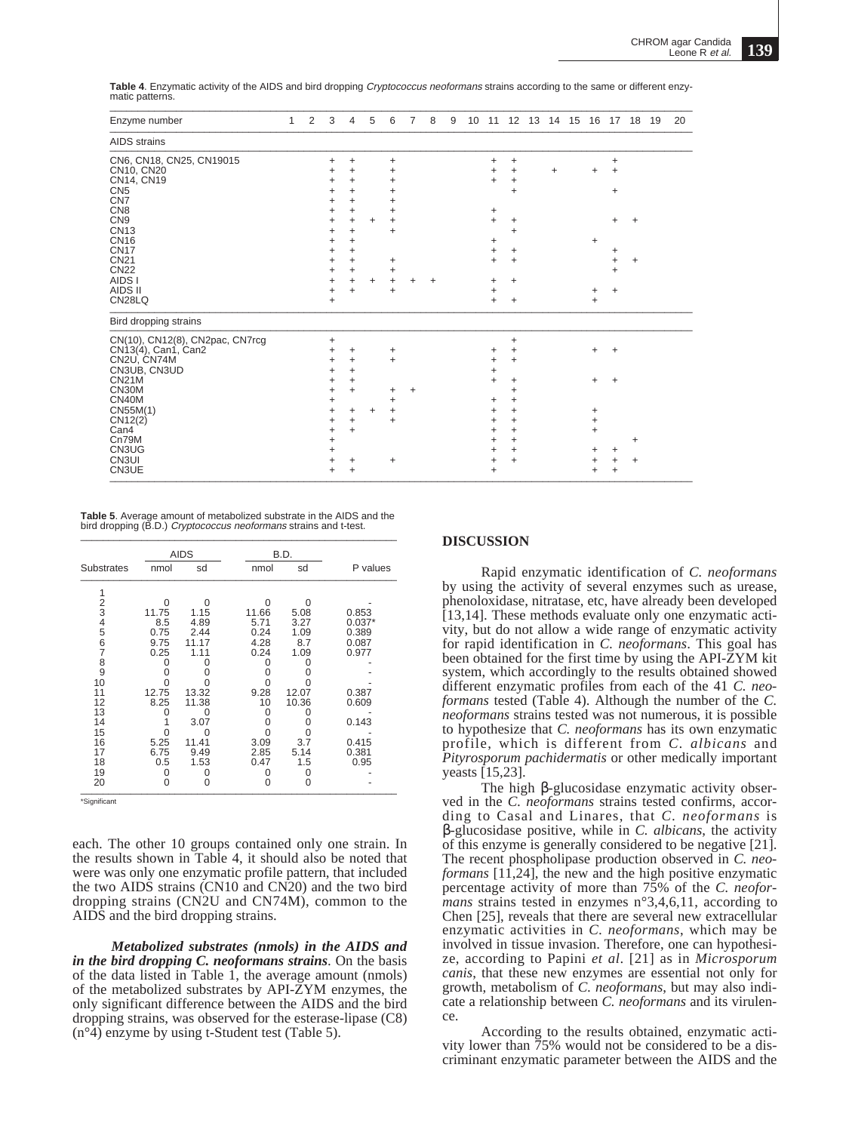| Enzyme number                   | 1 | 2 | 3              | 4                      | 5         | 6         | 7 | 8 | 9 | 10 |           |                |           | 11 12 13 14 15 16 17 18 19 |           |   | 20 |
|---------------------------------|---|---|----------------|------------------------|-----------|-----------|---|---|---|----|-----------|----------------|-----------|----------------------------|-----------|---|----|
| <b>AIDS</b> strains             |   |   |                |                        |           |           |   |   |   |    |           |                |           |                            |           |   |    |
| CN6, CN18, CN25, CN19015        |   |   | +              | +                      |           | +         |   |   |   |    | +         | $\ddot{}$      |           |                            | $\ddot{}$ |   |    |
| CN10, CN20                      |   |   | +              | $\ddot{}$              |           | +         |   |   |   |    | +         | $\ddot{}$      | $\ddot{}$ |                            | $\ddot{}$ |   |    |
| CN14, CN19                      |   |   | +              | $\ddot{}$              |           | ٠         |   |   |   |    | $+$       | $\ddot{}$      |           |                            |           |   |    |
| CN <sub>5</sub>                 |   |   | +              | +                      |           |           |   |   |   |    |           | +              |           |                            | $\ddot{}$ |   |    |
| CN <sub>7</sub>                 |   |   | +              | $\ddot{}$              |           |           |   |   |   |    |           |                |           |                            |           |   |    |
| CN <sub>8</sub>                 |   |   | ٠              | $\ddot{}$              |           | +         |   |   |   |    | +         |                |           |                            |           |   |    |
| CN <sub>9</sub><br><b>CN13</b>  |   |   | +              | $\ddot{}$              | +         | +         |   |   |   |    | $\ddot{}$ | +              |           |                            | +         | + |    |
| <b>CN16</b>                     |   |   | +              | $\ddot{}$<br>$\ddot{}$ |           | +         |   |   |   |    |           | $\ddot{}$      |           |                            |           |   |    |
| <b>CN17</b>                     |   |   | +<br>+         | $\ddot{}$              |           |           |   |   |   |    | +<br>+    | +              |           |                            | +         |   |    |
| <b>CN21</b>                     |   |   | +              | $\ddot{}$              |           | +         |   |   |   |    | +         | $\ddot{}$      |           |                            | +         | + |    |
| <b>CN22</b>                     |   |   | +              | $\ddot{}$              |           | +         |   |   |   |    |           |                |           |                            | $\ddot{}$ |   |    |
| AIDS I                          |   |   | +              | $\ddot{}$              | ÷         | $\ddot{}$ | + | ÷ |   |    | +         | $\ddot{}$      |           |                            |           |   |    |
| AIDS II                         |   |   | +              | $\ddot{}$              |           |           |   |   |   |    | +         |                |           | +                          | $\ddot{}$ |   |    |
| CN28LQ                          |   |   | $\ddot{}$      |                        |           |           |   |   |   |    | $\ddot{}$ | $\ddot{}$      |           | $+$                        |           |   |    |
| Bird dropping strains           |   |   |                |                        |           |           |   |   |   |    |           |                |           |                            |           |   |    |
| CN(10), CN12(8), CN2pac, CN7rcg |   |   | $\ddot{}$      |                        |           |           |   |   |   |    |           | $\ddot{}$      |           |                            |           |   |    |
| CN13(4), Can1, Can2             |   |   | +              | +                      |           | +         |   |   |   |    | +         | +              |           | $+$                        | $\ddot{}$ |   |    |
| CN2U, CN74M                     |   |   | +              | $\ddot{}$              |           | +         |   |   |   |    | +         | +              |           |                            |           |   |    |
| CN3UB, CN3UD                    |   |   | +              | +                      |           |           |   |   |   |    | +         |                |           |                            |           |   |    |
| <b>CN21M</b>                    |   |   | +              | $\ddot{}$              |           |           |   |   |   |    | $\ddot{}$ | +              |           | $\ddot{}$                  | $\ddot{}$ |   |    |
| CN30M                           |   |   | +              | $\ddot{}$              |           | +         | + |   |   |    |           | $\ddot{}$      |           |                            |           |   |    |
| CN40M                           |   |   | +              |                        |           | +         |   |   |   |    | +         | +              |           |                            |           |   |    |
| CN55M(1)                        |   |   | +              | $\ddot{}$              | $\ddot{}$ |           |   |   |   |    | +         | $\ddot{}$      |           | +                          |           |   |    |
| CN12(2)<br>Can4                 |   |   | +              | $\ddot{}$              |           | +         |   |   |   |    | +         | +              |           | +<br>$\ddot{}$             |           |   |    |
| Cn79M                           |   |   | +              | +                      |           |           |   |   |   |    | +<br>+    | +<br>$\ddot{}$ |           |                            |           |   |    |
| CN3UG                           |   |   | $\ddot{}$<br>+ |                        |           |           |   |   |   |    | +         | +              |           |                            |           | + |    |
| CN3UI                           |   |   | +              | +                      |           | +         |   |   |   |    | $\ddot{}$ | +              |           | +<br>$\ddot{}$             | +<br>+    | ÷ |    |
| CN3UE                           |   |   | +              | $\ddot{}$              |           |           |   |   |   |    | +         |                |           | ÷                          | $\ddot{}$ |   |    |
|                                 |   |   |                |                        |           |           |   |   |   |    |           |                |           |                            |           |   |    |

**Table 4**. Enzymatic activity of the AIDS and bird dropping Cryptococcus neoformans strains according to the same or different enzymatic patterns. \_\_\_\_\_\_\_\_\_\_\_\_\_\_\_\_\_\_\_\_\_\_\_\_\_\_\_\_\_\_\_\_\_\_\_\_\_\_\_\_\_\_\_\_\_\_\_\_\_\_\_\_\_\_\_\_\_\_\_\_\_\_\_\_\_\_\_\_\_\_\_\_\_\_\_\_\_\_\_\_\_\_\_\_\_\_\_\_\_\_\_\_\_\_\_\_\_\_\_\_\_\_\_\_\_

**Table 5**. Average amount of metabolized substrate in the AIDS and the bird dropping (B.D.) Cryptococcus neoformans strains and t-test. \_\_\_\_\_\_\_\_\_\_\_\_\_\_\_\_\_\_\_\_\_\_\_\_\_\_\_\_\_\_\_\_\_\_\_\_\_\_\_\_\_\_\_\_\_\_\_\_\_\_\_\_\_\_\_\_\_

|                   |       | <b>AIDS</b> |       | B.D.  |          |
|-------------------|-------|-------------|-------|-------|----------|
| <b>Substrates</b> | nmol  | sd          | nmol  | sd    | P values |
| 1                 |       |             |       |       |          |
| $\frac{2}{3}$     | ∩     | ი           | ი     | ∩     |          |
|                   | 11.75 | 1.15        | 11.66 | 5.08  | 0.853    |
| $\frac{4}{5}$     | 8.5   | 4.89        | 5.71  | 3.27  | $0.037*$ |
|                   | 0.75  | 2.44        | 0.24  | 1.09  | 0.389    |
| $\overline{6}$    | 9.75  | 11.17       | 4.28  | 8.7   | 0.087    |
| 7                 | 0.25  | 1.11        | 0.24  | 1.09  | 0.977    |
| 8                 |       |             |       |       |          |
| 9                 |       |             |       |       |          |
| 10                |       |             |       |       |          |
| 11                | 12.75 | 13.32       | 9.28  | 12.07 | 0.387    |
| 12                | 8.25  | 11.38       | 10    | 10.36 | 0.609    |
| 13                |       |             | Ω     |       |          |
| 14                |       | 3.07        |       | O     | 0.143    |
| 15                |       |             |       |       |          |
| 16                | 5.25  | 11.41       | 3.09  | 3.7   | 0.415    |
| 17                | 6.75  | 9.49        | 2.85  | 5.14  | 0.381    |
| 18                | 0.5   | 1.53        | 0.47  | 1.5   | 0.95     |
| 19                | O     |             |       | 0     |          |
| 20                |       | 0           |       | O     |          |

\*Significant

each. The other 10 groups contained only one strain. In the results shown in Table 4, it should also be noted that were was only one enzymatic profile pattern, that included the two AIDS strains (CN10 and CN20) and the two bird dropping strains (CN2U and CN74M), common to the AIDS and the bird dropping strains.

*Metabolized substrates (nmols) in the AIDS and in the bird dropping C. neoformans strains*. On the basis of the data listed in Table 1, the average amount (nmols) of the metabolized substrates by API-ZYM enzymes, the only significant difference between the AIDS and the bird dropping strains, was observed for the esterase-lipase (C8)  $(n^{\circ}4)$  enzyme by using t-Student test (Table 5).

## **DISCUSSION**

Rapid enzymatic identification of *C. neoformans* by using the activity of several enzymes such as urease, phenoloxidase, nitratase, etc, have already been developed [13,14]. These methods evaluate only one enzymatic activity, but do not allow a wide range of enzymatic activity for rapid identification in *C. neoformans*. This goal has been obtained for the first time by using the API-ZYM kit system, which accordingly to the results obtained showed different enzymatic profiles from each of the 41 *C. neoformans* tested (Table 4). Although the number of the *C. neoformans* strains tested was not numerous, it is possible to hypothesize that *C. neoformans* has its own enzymatic profile, which is different from *C. albicans* and *Pityrosporum pachidermatis* or other medically important yeasts [15,23].

The high β-glucosidase enzymatic activity observed in the *C. neoformans* strains tested confirms, according to Casal and Linares, that *C. neoformans* is β-glucosidase positive, while in *C. albicans*, the activity of this enzyme is generally considered to be negative [21]. The recent phospholipase production observed in *C. neoformans* [11,24], the new and the high positive enzymatic percentage activity of more than 75% of the *C. neoformans* strains tested in enzymes n°3,4,6,11, according to Chen [25], reveals that there are several new extracellular enzymatic activities in *C. neoformans*, which may be involved in tissue invasion. Therefore, one can hypothesize, according to Papini *et al*. [21] as in *Microsporum canis*, that these new enzymes are essential not only for growth, metabolism of *C. neoformans*, but may also indicate a relationship between *C. neoformans* and its virulence.

According to the results obtained, enzymatic activity lower than 75% would not be considered to be a discriminant enzymatic parameter between the AIDS and the